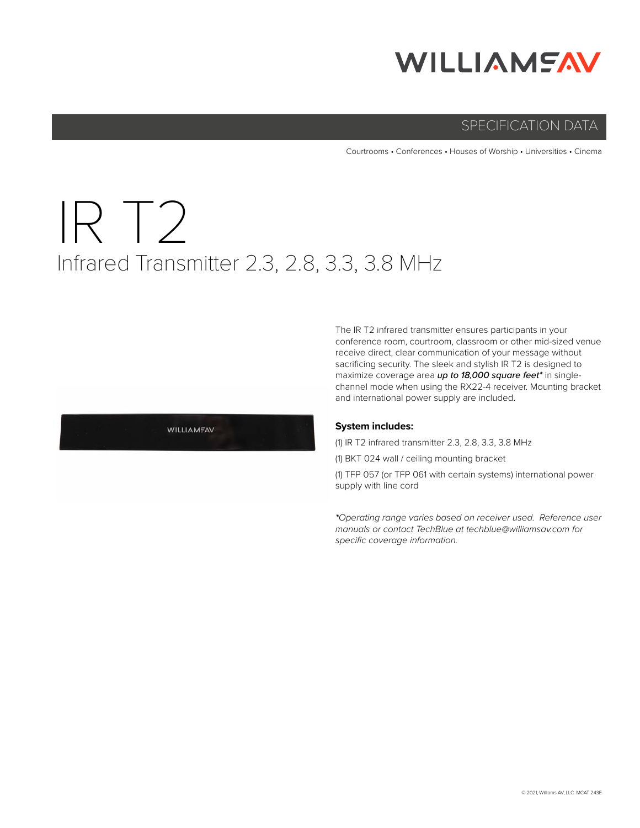## **WILLIAMSAV**

#### SPECIFICATION DATA

Courtrooms • Conferences • Houses of Worship • Universities • Cinema

# IR T2 Infrared Transmitter 2.3, 2.8, 3.3, 3.8 MHz

The IR T2 infrared transmitter ensures participants in your conference room, courtroom, classroom or other mid-sized venue receive direct, clear communication of your message without sacrificing security. The sleek and stylish IR T2 is designed to maximize coverage area *up to 18,000 square feet\** in singlechannel mode when using the RX22-4 receiver. Mounting bracket and international power supply are included.

#### **System includes:**

(1) IR T2 infrared transmitter 2.3, 2.8, 3.3, 3.8 MHz

(1) BKT 024 wall / ceiling mounting bracket

(1) TFP 057 (or TFP 061 with certain systems) international power supply with line cord

*\*Operating range varies based on receiver used. Reference user manuals or contact TechBlue at techblue@williamsav.com for specific coverage information.*

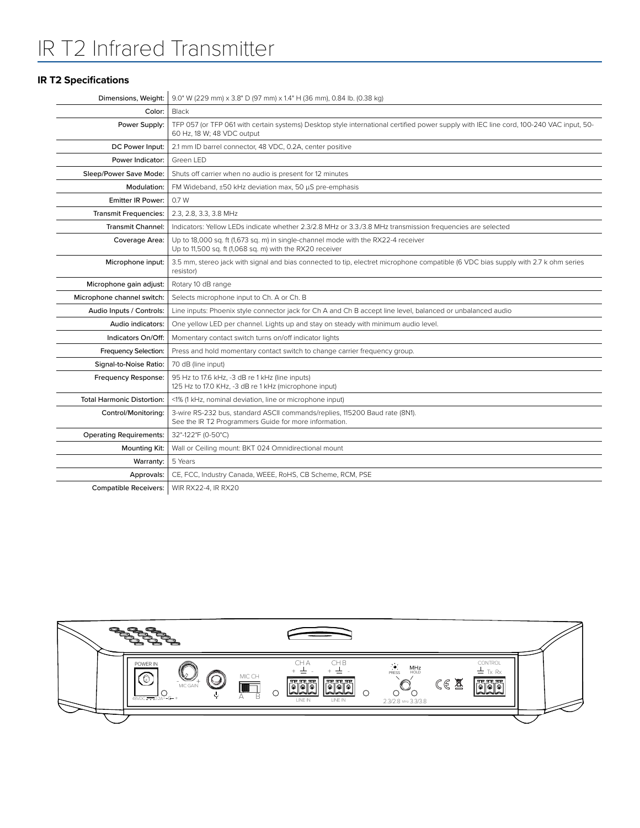### IR T2 Infrared Transmitter

#### **IR T2 Specifications**

|                                   | <b>Dimensions, Weight:</b> 9.0" W (229 mm) x 3.8" D (97 mm) x 1.4" H (36 mm), 0.84 lb. (0.38 kg)                                                                      |
|-----------------------------------|-----------------------------------------------------------------------------------------------------------------------------------------------------------------------|
| Color:                            | Black                                                                                                                                                                 |
| Power Supply:                     | TFP 057 (or TFP 061 with certain systems) Desktop style international certified power supply with IEC line cord, 100-240 VAC input, 50-<br>60 Hz, 18 W; 48 VDC output |
| DC Power Input:                   | 2.1 mm ID barrel connector, 48 VDC, 0.2A, center positive                                                                                                             |
| Power Indicator:                  | Green LED                                                                                                                                                             |
| Sleep/Power Save Mode:            | Shuts off carrier when no audio is present for 12 minutes                                                                                                             |
| Modulation:                       | FM Wideband, ±50 kHz deviation max, 50 µS pre-emphasis                                                                                                                |
| <b>Emitter IR Power:</b>          | 0.7 W                                                                                                                                                                 |
| <b>Transmit Frequencies:</b>      | 2.3, 2.8, 3.3, 3.8 MHz                                                                                                                                                |
| <b>Transmit Channel:</b>          | Indicators: Yellow LEDs indicate whether 2.3/2.8 MHz or 3.3./3.8 MHz transmission frequencies are selected                                                            |
| Coverage Area:                    | Up to 18,000 sq. ft (1,673 sq. m) in single-channel mode with the RX22-4 receiver<br>Up to 11,500 sq. ft (1,068 sq. m) with the RX20 receiver                         |
| Microphone input:                 | 3.5 mm, stereo jack with signal and bias connected to tip, electret microphone compatible (6 VDC bias supply with 2.7 k ohm series<br>resistor)                       |
| Microphone gain adjust:           | Rotary 10 dB range                                                                                                                                                    |
| Microphone channel switch:        | Selects microphone input to Ch. A or Ch. B                                                                                                                            |
| Audio Inputs / Controls:          | Line inputs: Phoenix style connector jack for Ch A and Ch B accept line level, balanced or unbalanced audio                                                           |
| Audio indicators:                 | One yellow LED per channel. Lights up and stay on steady with minimum audio level.                                                                                    |
| Indicators On/Off:                | Momentary contact switch turns on/off indicator lights                                                                                                                |
| Frequency Selection:              | Press and hold momentary contact switch to change carrier frequency group.                                                                                            |
| Signal-to-Noise Ratio:            | 70 dB (line input)                                                                                                                                                    |
| Frequency Response:               | 95 Hz to 17.6 kHz, -3 dB re 1 kHz (line inputs)<br>125 Hz to 17.0 KHz, -3 dB re 1 kHz (microphone input)                                                              |
| <b>Total Harmonic Distortion:</b> | <1% (1 kHz, nominal deviation, line or microphone input)                                                                                                              |
| Control/Monitoring:               | 3-wire RS-232 bus, standard ASCII commands/replies, 115200 Baud rate (8N1).<br>See the IR T2 Programmers Guide for more information.                                  |
| <b>Operating Requirements:</b>    | 32°-122°F (0-50°C)                                                                                                                                                    |
| Mounting Kit:                     | Wall or Ceiling mount: BKT 024 Omnidirectional mount                                                                                                                  |
| Warranty:                         | 5 Years                                                                                                                                                               |
| Approvals:                        | CE, FCC, Industry Canada, WEEE, RoHS, CB Scheme, RCM, PSE                                                                                                             |
| <b>Compatible Receivers:</b>      | WIR RX22-4, IR RX20                                                                                                                                                   |